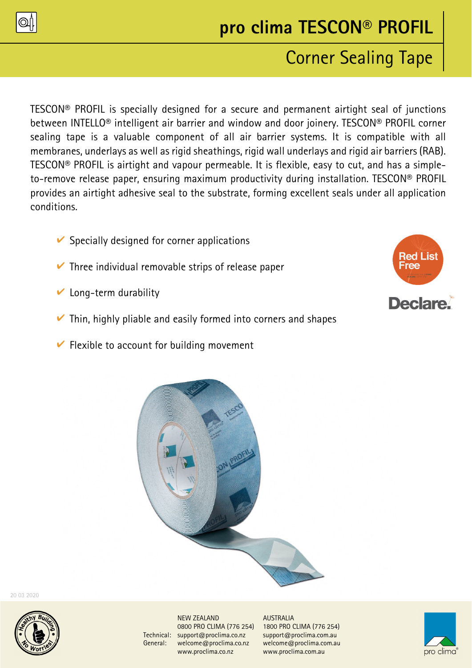

# **pro clima TESCON® PROFIL**

## Corner Sealing Tape

TESCON® PROFIL is specially designed for a secure and permanent airtight seal of junctions between INTELLO® intelligent air barrier and window and door joinery. TESCON® PROFIL corner sealing tape is a valuable component of all air barrier systems. It is compatible with all membranes, underlays as well as rigid sheathings, rigid wall underlays and rigid air barriers (RAB). TESCON® PROFIL is airtight and vapour permeable. It is flexible, easy to cut, and has a simpleto-remove release paper, ensuring maximum productivity during installation. TESCON® PROFIL provides an airtight adhesive seal to the substrate, forming excellent seals under all application conditions.

- $\vee$  Specially designed for corner applications
- $\vee$  Three individual removable strips of release paper
- $\vee$  Long-term durability
- $\triangleright$  Thin, highly pliable and easily formed into corners and shapes
- $\triangleright$  Flexible to account for building movement





20 03 2020



NEW ZEALAND AUSTRALIA Technical: support@proclima.co.nz support@proclima.com.au General: welcome@proclima.co.nz welcome@proclima.com.au www.proclima.co.nz www.proclima.com.au

0800 PRO CLIMA (776 254) 1800 PRO CLIMA (776 254)